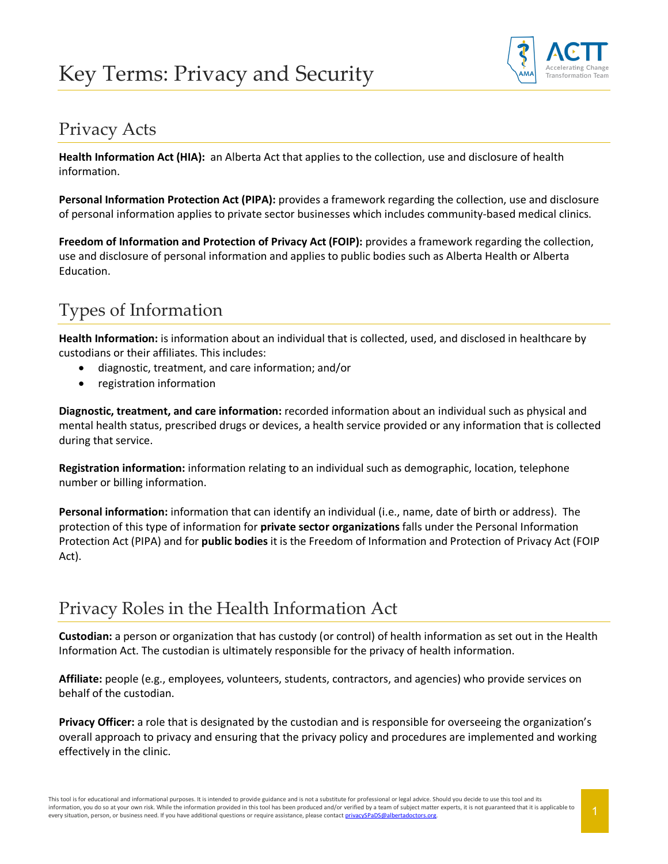# Key Terms: Privacy and Security



#### Privacy Acts

**Health Information Act (HIA):** an Alberta Act that applies to the collection, use and disclosure of health information.

**Personal Information Protection Act (PIPA):** provides a framework regarding the collection, use and disclosure of personal information applies to private sector businesses which includes community-based medical clinics.

**Freedom of Information and Protection of Privacy Act (FOIP):** provides a framework regarding the collection, use and disclosure of personal information and applies to public bodies such as Alberta Health or Alberta Education.

# Types of Information

**Health Information:** is information about an individual that is collected, used, and disclosed in healthcare by custodians or their affiliates. This includes:

- diagnostic, treatment, and care information; and/or
- registration information

**Diagnostic, treatment, and care information:** recorded information about an individual such as physical and mental health status, prescribed drugs or devices, a health service provided or any information that is collected during that service.

**Registration information:** information relating to an individual such as demographic, location, telephone number or billing information.

**Personal information:** information that can identify an individual (i.e., name, date of birth or address). The protection of this type of information for **private sector organizations** falls under the Personal Information Protection Act (PIPA) and for **public bodies** it is the Freedom of Information and Protection of Privacy Act (FOIP Act).

### Privacy Roles in the Health Information Act

**Custodian:** a person or organization that has custody (or control) of health information as set out in the Health Information Act. The custodian is ultimately responsible for the privacy of health information.

**Affiliate:** people (e.g., employees, volunteers, students, contractors, and agencies) who provide services on behalf of the custodian.

**Privacy Officer:** a role that is designated by the custodian and is responsible for overseeing the organization's overall approach to privacy and ensuring that the privacy policy and procedures are implemented and working effectively in the clinic.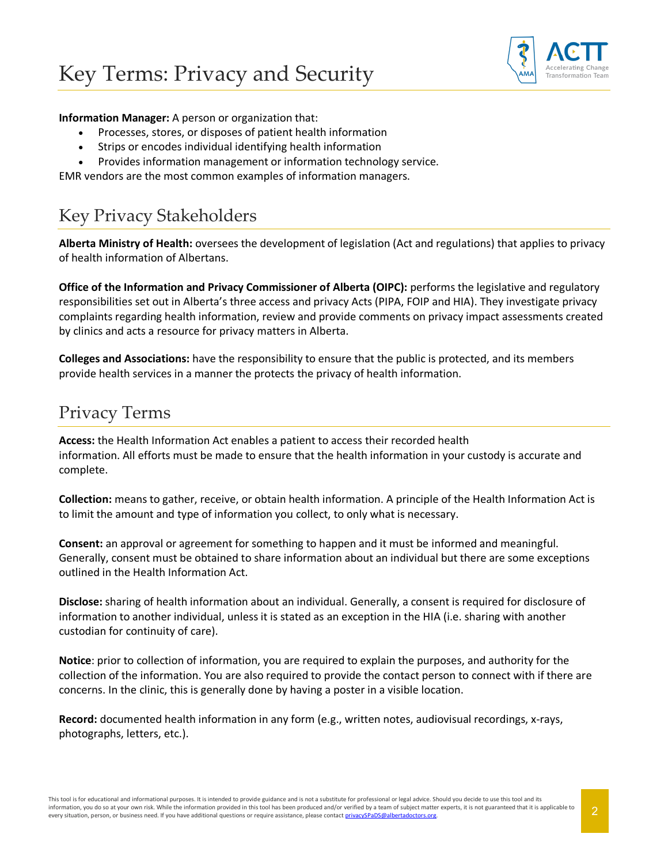

#### **Information Manager:** A person or organization that:

- Processes, stores, or disposes of patient health information
- Strips or encodes individual identifying health information
- Provides information management or information technology service.

EMR vendors are the most common examples of information managers.

## Key Privacy Stakeholders

**Alberta Ministry of Health:** oversees the development of legislation (Act and regulations) that applies to privacy of health information of Albertans.

**Office of the Information and Privacy Commissioner of Alberta (OIPC):** performs the legislative and regulatory responsibilities set out in Alberta's three access and privacy Acts (PIPA, FOIP and HIA). They investigate privacy complaints regarding health information, review and provide comments on privacy impact assessments created by clinics and acts a resource for privacy matters in Alberta.

**Colleges and Associations:** have the responsibility to ensure that the public is protected, and its members provide health services in a manner the protects the privacy of health information.

#### Privacy Terms

**Access:** the Health Information Act enables a patient to access their recorded health information. All efforts must be made to ensure that the health information in your custody is accurate and complete.

**Collection:** means to gather, receive, or obtain health information. A principle of the Health Information Act is to limit the amount and type of information you collect, to only what is necessary.

**Consent:** an approval or agreement for something to happen and it must be informed and meaningful. Generally, consent must be obtained to share information about an individual but there are some exceptions outlined in the Health Information Act.

**Disclose:** sharing of health information about an individual. Generally, a consent is required for disclosure of information to another individual, unless it is stated as an exception in the HIA (i.e. sharing with another custodian for continuity of care).

**Notice**: prior to collection of information, you are required to explain the purposes, and authority for the collection of the information. You are also required to provide the contact person to connect with if there are concerns. In the clinic, this is generally done by having a poster in a visible location.

**Record:** documented health information in any form (e.g., written notes, audiovisual recordings, x-rays, photographs, letters, etc.).